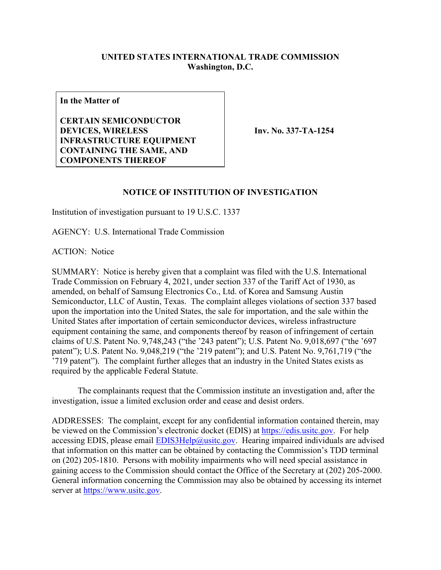## **UNITED STATES INTERNATIONAL TRADE COMMISSION Washington, D.C.**

**In the Matter of**

**CERTAIN SEMICONDUCTOR DEVICES, WIRELESS INFRASTRUCTURE EQUIPMENT CONTAINING THE SAME, AND COMPONENTS THEREOF**

**Inv. No. 337-TA-1254**

## **NOTICE OF INSTITUTION OF INVESTIGATION**

Institution of investigation pursuant to 19 U.S.C. 1337

AGENCY: U.S. International Trade Commission

ACTION: Notice

SUMMARY: Notice is hereby given that a complaint was filed with the U.S. International Trade Commission on February 4, 2021, under section 337 of the Tariff Act of 1930, as amended, on behalf of Samsung Electronics Co., Ltd. of Korea and Samsung Austin Semiconductor, LLC of Austin, Texas. The complaint alleges violations of section 337 based upon the importation into the United States, the sale for importation, and the sale within the United States after importation of certain semiconductor devices, wireless infrastructure equipment containing the same, and components thereof by reason of infringement of certain claims of U.S. Patent No. 9,748,243 ("the '243 patent"); U.S. Patent No. 9,018,697 ("the '697 patent"); U.S. Patent No. 9,048,219 ("the '219 patent"); and U.S. Patent No. 9,761,719 ("the '719 patent"). The complaint further alleges that an industry in the United States exists as required by the applicable Federal Statute.

The complainants request that the Commission institute an investigation and, after the investigation, issue a limited exclusion order and cease and desist orders.

ADDRESSES: The complaint, except for any confidential information contained therein, may be viewed on the Commission's electronic docket (EDIS) at [https://edis.usitc.gov.](https://edis.usitc.gov/) For help accessing EDIS, please email  $EDIS3Help@usite.gov$ . Hearing impaired individuals are advised that information on this matter can be obtained by contacting the Commission's TDD terminal on (202) 205-1810. Persons with mobility impairments who will need special assistance in gaining access to the Commission should contact the Office of the Secretary at (202) 205-2000. General information concerning the Commission may also be obtained by accessing its internet server at [https://www.usitc.gov.](https://www.usitc.gov/)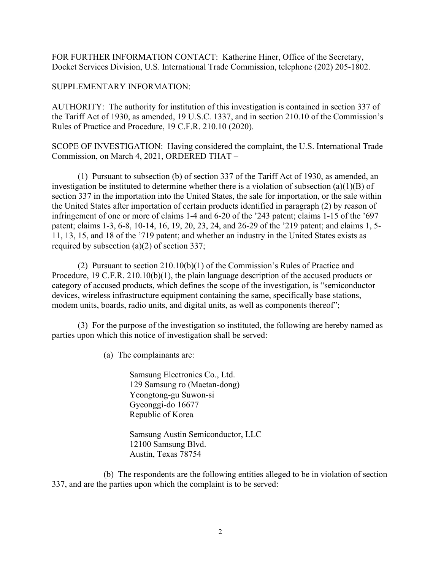FOR FURTHER INFORMATION CONTACT: Katherine Hiner, Office of the Secretary, Docket Services Division, U.S. International Trade Commission, telephone (202) 205-1802.

## SUPPLEMENTARY INFORMATION:

AUTHORITY: The authority for institution of this investigation is contained in section 337 of the Tariff Act of 1930, as amended, 19 U.S.C. 1337, and in section 210.10 of the Commission's Rules of Practice and Procedure, 19 C.F.R. 210.10 (2020).

SCOPE OF INVESTIGATION: Having considered the complaint, the U.S. International Trade Commission, on March 4, 2021, ORDERED THAT –

(1) Pursuant to subsection (b) of section 337 of the Tariff Act of 1930, as amended, an investigation be instituted to determine whether there is a violation of subsection (a)(1)(B) of section 337 in the importation into the United States, the sale for importation, or the sale within the United States after importation of certain products identified in paragraph (2) by reason of infringement of one or more of claims 1-4 and 6-20 of the '243 patent; claims 1-15 of the '697 patent; claims 1-3, 6-8, 10-14, 16, 19, 20, 23, 24, and 26-29 of the '219 patent; and claims 1, 5- 11, 13, 15, and 18 of the '719 patent; and whether an industry in the United States exists as required by subsection (a)(2) of section 337;

(2) Pursuant to section 210.10(b)(1) of the Commission's Rules of Practice and Procedure, 19 C.F.R. 210.10(b)(1), the plain language description of the accused products or category of accused products, which defines the scope of the investigation, is "semiconductor devices, wireless infrastructure equipment containing the same, specifically base stations, modem units, boards, radio units, and digital units, as well as components thereof";

(3) For the purpose of the investigation so instituted, the following are hereby named as parties upon which this notice of investigation shall be served:

(a) The complainants are:

Samsung Electronics Co., Ltd. 129 Samsung ro (Maetan-dong) Yeongtong-gu Suwon-si Gyeonggi-do 16677 Republic of Korea

Samsung Austin Semiconductor, LLC 12100 Samsung Blvd. Austin, Texas 78754

(b) The respondents are the following entities alleged to be in violation of section 337, and are the parties upon which the complaint is to be served: